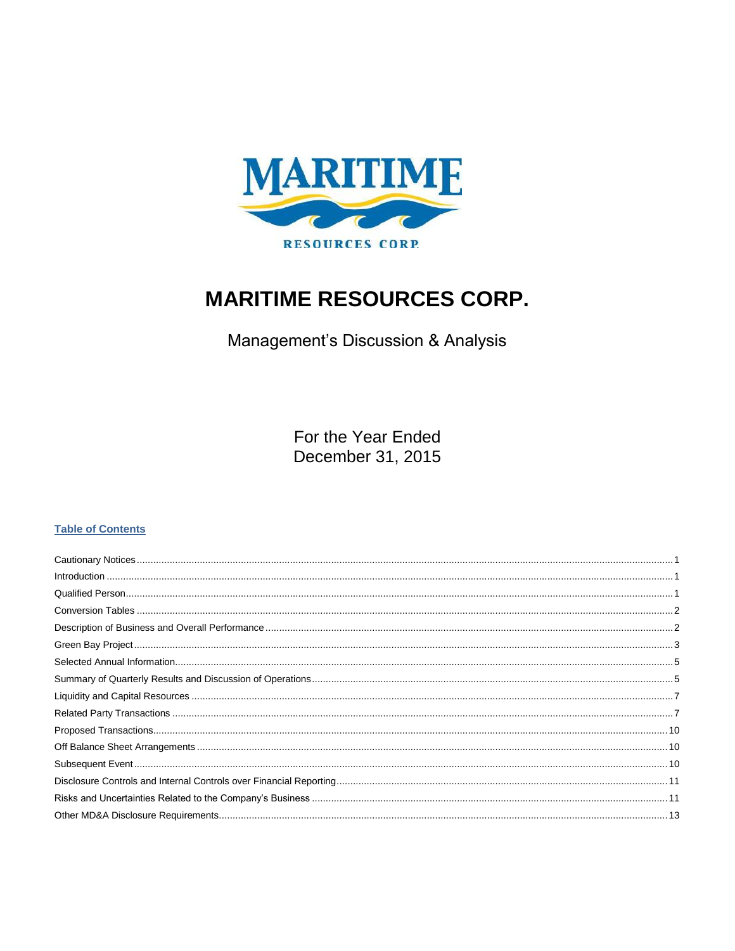

# **MARITIME RESOURCES CORP.**

Management's Discussion & Analysis

For the Year Ended December 31, 2015

## **Table of Contents**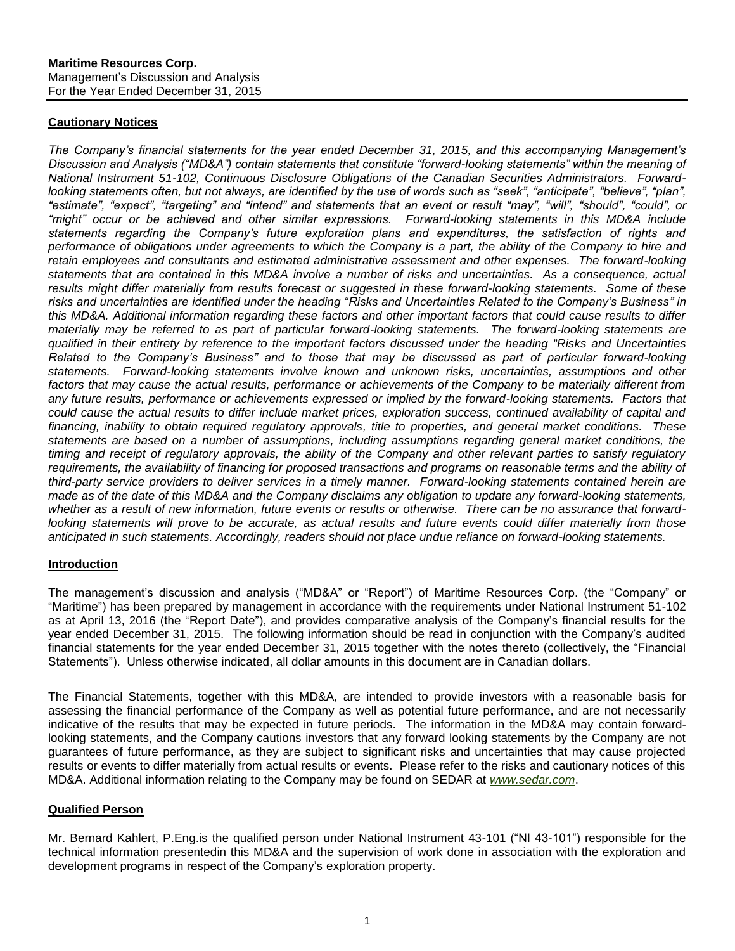#### <span id="page-1-0"></span>**Cautionary Notices**

*The Company's financial statements for the year ended December 31, 2015, and this accompanying Management's Discussion and Analysis ("MD&A") contain statements that constitute "forward-looking statements" within the meaning of National Instrument 51-102, Continuous Disclosure Obligations of the Canadian Securities Administrators. Forwardlooking statements often, but not always, are identified by the use of words such as "seek", "anticipate", "believe", "plan", "estimate", "expect", "targeting" and "intend" and statements that an event or result "may", "will", "should", "could", or "might" occur or be achieved and other similar expressions. Forward-looking statements in this MD&A include statements regarding the Company's future exploration plans and expenditures, the satisfaction of rights and performance of obligations under agreements to which the Company is a part, the ability of the Company to hire and retain employees and consultants and estimated administrative assessment and other expenses. The forward-looking statements that are contained in this MD&A involve a number of risks and uncertainties. As a consequence, actual results might differ materially from results forecast or suggested in these forward-looking statements. Some of these risks and uncertainties are identified under the heading "Risks and Uncertainties Related to the Company's Business" in this MD&A. Additional information regarding these factors and other important factors that could cause results to differ materially may be referred to as part of particular forward-looking statements. The forward-looking statements are qualified in their entirety by reference to the important factors discussed under the heading "Risks and Uncertainties Related to the Company's Business" and to those that may be discussed as part of particular forward-looking statements. Forward-looking statements involve known and unknown risks, uncertainties, assumptions and other*  factors that may cause the actual results, performance or achievements of the Company to be materially different from any future results, performance or achievements expressed or implied by the forward-looking statements. Factors that *could cause the actual results to differ include market prices, exploration success, continued availability of capital and financing, inability to obtain required regulatory approvals, title to properties, and general market conditions. These statements are based on a number of assumptions, including assumptions regarding general market conditions, the timing and receipt of regulatory approvals, the ability of the Company and other relevant parties to satisfy regulatory*  requirements, the availability of financing for proposed transactions and programs on reasonable terms and the ability of *third-party service providers to deliver services in a timely manner. Forward-looking statements contained herein are made as of the date of this MD&A and the Company disclaims any obligation to update any forward-looking statements, whether as a result of new information, future events or results or otherwise. There can be no assurance that forward*looking statements will prove to be accurate, as actual results and future events could differ materially from those *anticipated in such statements. Accordingly, readers should not place undue reliance on forward-looking statements.*

## <span id="page-1-1"></span>**Introduction**

The management's discussion and analysis ("MD&A" or "Report") of Maritime Resources Corp. (the "Company" or "Maritime") has been prepared by management in accordance with the requirements under National Instrument 51-102 as at April 13, 2016 (the "Report Date"), and provides comparative analysis of the Company's financial results for the year ended December 31, 2015. The following information should be read in conjunction with the Company's audited financial statements for the year ended December 31, 2015 together with the notes thereto (collectively, the "Financial Statements"). Unless otherwise indicated, all dollar amounts in this document are in Canadian dollars.

The Financial Statements, together with this MD&A, are intended to provide investors with a reasonable basis for assessing the financial performance of the Company as well as potential future performance, and are not necessarily indicative of the results that may be expected in future periods. The information in the MD&A may contain forwardlooking statements, and the Company cautions investors that any forward looking statements by the Company are not guarantees of future performance, as they are subject to significant risks and uncertainties that may cause projected results or events to differ materially from actual results or events. Please refer to the risks and cautionary notices of this MD&A. Additional information relating to the Company may be found on SEDAR at *[www.sedar.com](http://www.sedar.com/)*.

## <span id="page-1-2"></span>**Qualified Person**

Mr. Bernard Kahlert, P.Eng.is the qualified person under National Instrument 43-101 ("NI 43-101") responsible for the technical information presentedin this MD&A and the supervision of work done in association with the exploration and development programs in respect of the Company's exploration property.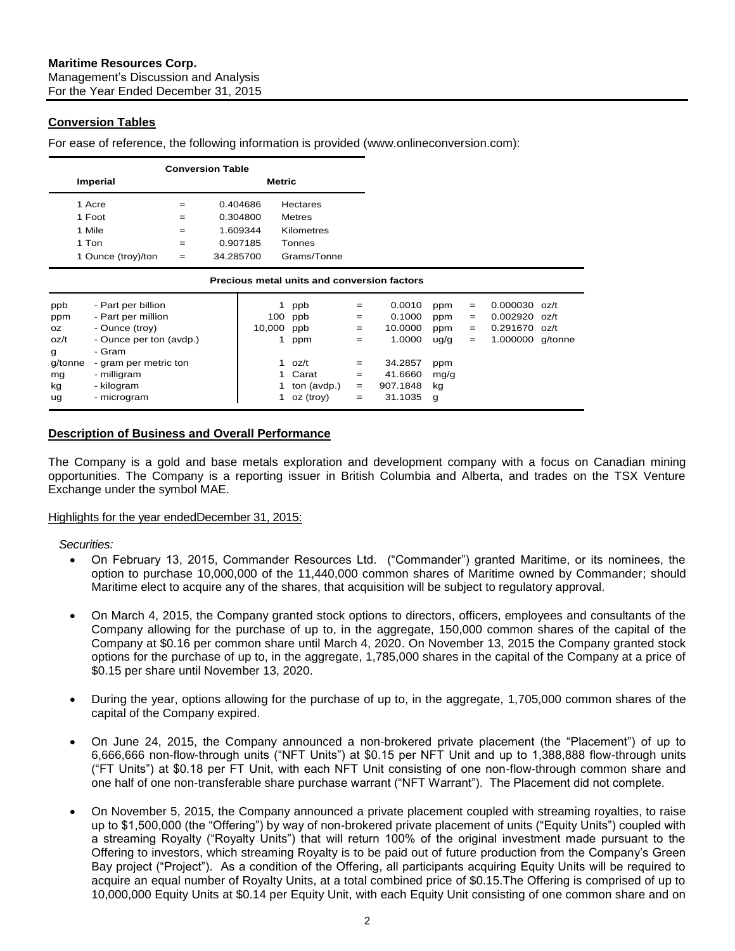## <span id="page-2-0"></span>**Conversion Tables**

For ease of reference, the following information is provided (www.onlineconversion.com):

|         | <b>Conversion Table</b>                     |     |           |        |                 |     |          |      |     |          |         |
|---------|---------------------------------------------|-----|-----------|--------|-----------------|-----|----------|------|-----|----------|---------|
|         | Imperial<br><b>Metric</b>                   |     |           |        |                 |     |          |      |     |          |         |
|         | 1 Acre                                      | $=$ | 0.404686  |        | <b>Hectares</b> |     |          |      |     |          |         |
|         | 1 Foot                                      | $=$ | 0.304800  |        | <b>Metres</b>   |     |          |      |     |          |         |
|         | 1 Mile                                      | $=$ | 1.609344  |        | Kilometres      |     |          |      |     |          |         |
|         | 1 Ton                                       | $=$ | 0.907185  |        | Tonnes          |     |          |      |     |          |         |
|         | 1 Ounce (troy)/ton                          | $=$ | 34.285700 |        | Grams/Tonne     |     |          |      |     |          |         |
|         | Precious metal units and conversion factors |     |           |        |                 |     |          |      |     |          |         |
| ppb     | - Part per billion                          |     |           |        | ppb             | $=$ | 0.0010   | ppm  | $=$ | 0.000030 | oz/t    |
| ppm     | - Part per million                          |     |           | 100    | ppb             | $=$ | 0.1000   | ppm  | $=$ | 0.002920 | oz/t    |
| OZ.     | - Ounce (troy)                              |     |           | 10,000 | ppb             | $=$ | 10.0000  | ppm  | $=$ | 0.291670 | oz/t    |
| oz/t    | - Ounce per ton (avdp.)                     |     |           | 1      | ppm             | $=$ | 1.0000   | uq/q | $=$ | 1.000000 | g/tonne |
| g       | - Gram                                      |     |           |        |                 |     |          |      |     |          |         |
| g/tonne | - gram per metric ton                       |     |           | 1      | oz/t            | $=$ | 34.2857  | ppm  |     |          |         |
| mg      | - milligram                                 |     |           | 1      | Carat           | $=$ | 41.6660  | mg/g |     |          |         |
| kg      | - kilogram                                  |     |           |        | ton (avdp.)     | $=$ | 907.1848 | kg   |     |          |         |
| ug      | - microgram                                 |     |           |        | oz (troy)       | $=$ | 31.1035  | g    |     |          |         |

## <span id="page-2-1"></span>**Description of Business and Overall Performance**

The Company is a gold and base metals exploration and development company with a focus on Canadian mining opportunities. The Company is a reporting issuer in British Columbia and Alberta, and trades on the TSX Venture Exchange under the symbol MAE.

#### Highlights for the year endedDecember 31, 2015:

*Securities:*

- On February 13, 2015, Commander Resources Ltd. ("Commander") granted Maritime, or its nominees, the option to purchase 10,000,000 of the 11,440,000 common shares of Maritime owned by Commander; should Maritime elect to acquire any of the shares, that acquisition will be subject to regulatory approval.
- On March 4, 2015, the Company granted stock options to directors, officers, employees and consultants of the Company allowing for the purchase of up to, in the aggregate, 150,000 common shares of the capital of the Company at \$0.16 per common share until March 4, 2020. On November 13, 2015 the Company granted stock options for the purchase of up to, in the aggregate, 1,785,000 shares in the capital of the Company at a price of \$0.15 per share until November 13, 2020.
- During the year, options allowing for the purchase of up to, in the aggregate, 1,705,000 common shares of the capital of the Company expired.
- On June 24, 2015, the Company announced a non-brokered private placement (the "Placement") of up to 6,666,666 non-flow-through units ("NFT Units") at \$0.15 per NFT Unit and up to 1,388,888 flow-through units ("FT Units") at \$0.18 per FT Unit, with each NFT Unit consisting of one non-flow-through common share and one half of one non-transferable share purchase warrant ("NFT Warrant"). The Placement did not complete.
- On November 5, 2015, the Company announced a private placement coupled with streaming royalties, to raise up to \$1,500,000 (the "Offering") by way of non-brokered private placement of units ("Equity Units") coupled with a streaming Royalty ("Royalty Units") that will return 100% of the original investment made pursuant to the Offering to investors, which streaming Royalty is to be paid out of future production from the Company's Green Bay project ("Project"). As a condition of the Offering, all participants acquiring Equity Units will be required to acquire an equal number of Royalty Units, at a total combined price of \$0.15.The Offering is comprised of up to 10,000,000 Equity Units at \$0.14 per Equity Unit, with each Equity Unit consisting of one common share and on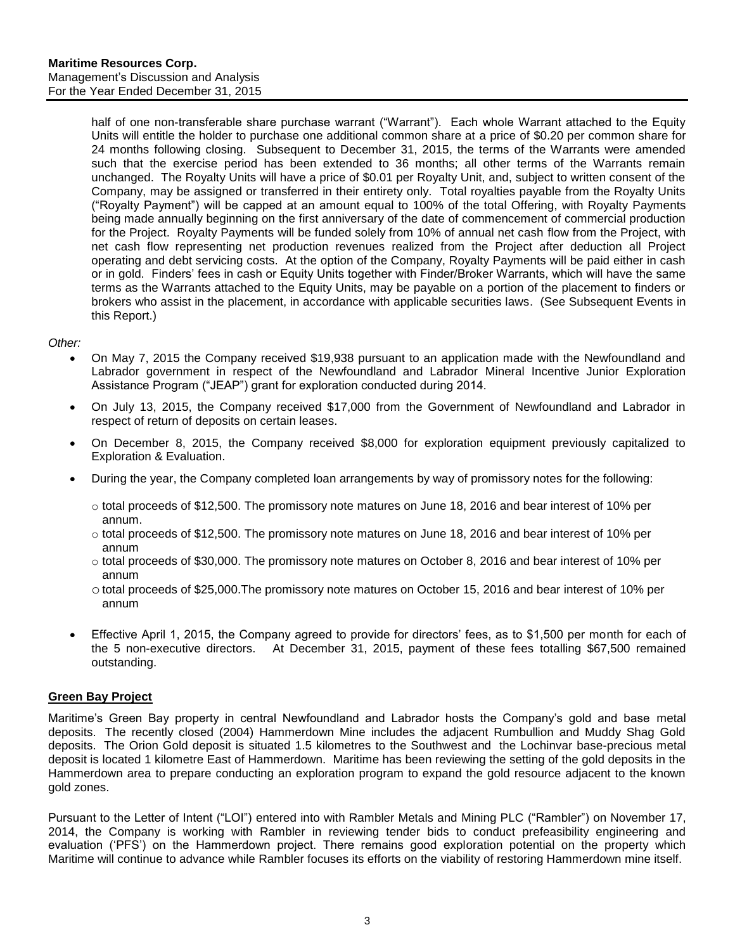half of one non-transferable share purchase warrant ("Warrant"). Each whole Warrant attached to the Equity Units will entitle the holder to purchase one additional common share at a price of \$0.20 per common share for 24 months following closing. Subsequent to December 31, 2015, the terms of the Warrants were amended such that the exercise period has been extended to 36 months; all other terms of the Warrants remain unchanged. The Royalty Units will have a price of \$0.01 per Royalty Unit, and, subject to written consent of the Company, may be assigned or transferred in their entirety only. Total royalties payable from the Royalty Units ("Royalty Payment") will be capped at an amount equal to 100% of the total Offering, with Royalty Payments being made annually beginning on the first anniversary of the date of commencement of commercial production for the Project. Royalty Payments will be funded solely from 10% of annual net cash flow from the Project, with net cash flow representing net production revenues realized from the Project after deduction all Project operating and debt servicing costs. At the option of the Company, Royalty Payments will be paid either in cash or in gold. Finders' fees in cash or Equity Units together with Finder/Broker Warrants, which will have the same terms as the Warrants attached to the Equity Units, may be payable on a portion of the placement to finders or brokers who assist in the placement, in accordance with applicable securities laws. (See Subsequent Events in this Report.)

#### *Other:*

- On May 7, 2015 the Company received \$19,938 pursuant to an application made with the Newfoundland and Labrador government in respect of the Newfoundland and Labrador Mineral Incentive Junior Exploration Assistance Program ("JEAP") grant for exploration conducted during 2014.
- On July 13, 2015, the Company received \$17,000 from the Government of Newfoundland and Labrador in respect of return of deposits on certain leases.
- On December 8, 2015, the Company received \$8,000 for exploration equipment previously capitalized to Exploration & Evaluation.
- During the year, the Company completed loan arrangements by way of promissory notes for the following:
	- $\circ$  total proceeds of \$12,500. The promissory note matures on June 18, 2016 and bear interest of 10% per annum.
	- $\circ$  total proceeds of \$12,500. The promissory note matures on June 18, 2016 and bear interest of 10% per annum
	- $\circ$  total proceeds of \$30,000. The promissory note matures on October 8, 2016 and bear interest of 10% per annum
	- ototal proceeds of \$25,000.The promissory note matures on October 15, 2016 and bear interest of 10% per annum
- Effective April 1, 2015, the Company agreed to provide for directors' fees, as to \$1,500 per month for each of the 5 non-executive directors. At December 31, 2015, payment of these fees totalling \$67,500 remained outstanding.

## <span id="page-3-0"></span>**Green Bay Project**

Maritime's Green Bay property in central Newfoundland and Labrador hosts the Company's gold and base metal deposits. The recently closed (2004) Hammerdown Mine includes the adjacent Rumbullion and Muddy Shag Gold deposits. The Orion Gold deposit is situated 1.5 kilometres to the Southwest and the Lochinvar base-precious metal deposit is located 1 kilometre East of Hammerdown. Maritime has been reviewing the setting of the gold deposits in the Hammerdown area to prepare conducting an exploration program to expand the gold resource adjacent to the known gold zones.

Pursuant to the Letter of Intent ("LOI") entered into with Rambler Metals and Mining PLC ("Rambler") on November 17, 2014, the Company is working with Rambler in reviewing tender bids to conduct prefeasibility engineering and evaluation ('PFS') on the Hammerdown project. There remains good exploration potential on the property which Maritime will continue to advance while Rambler focuses its efforts on the viability of restoring Hammerdown mine itself.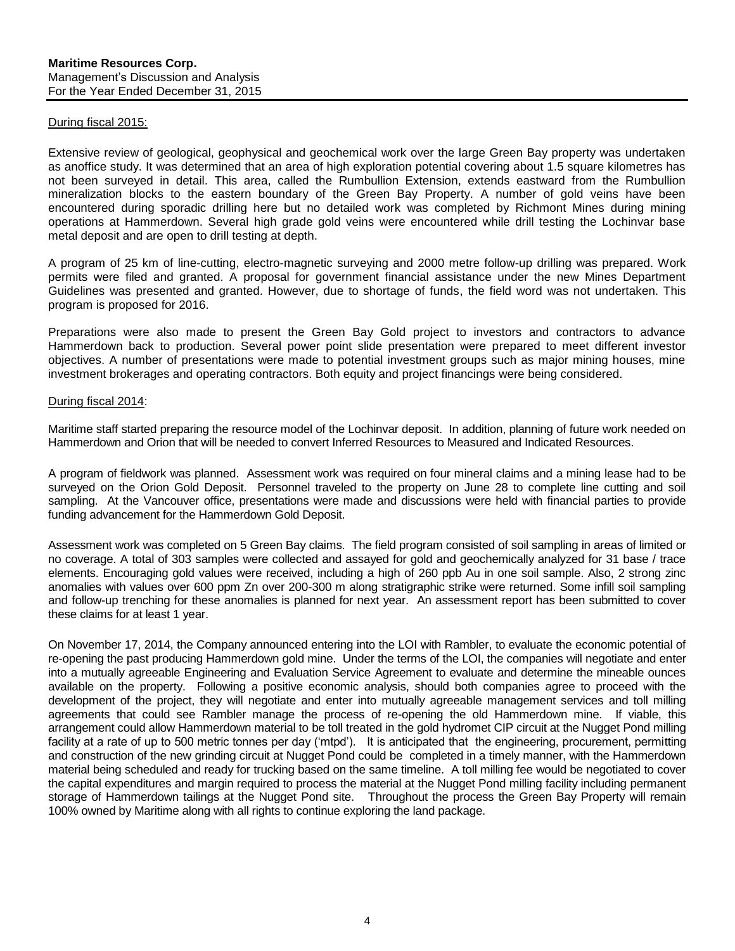#### During fiscal 2015:

Extensive review of geological, geophysical and geochemical work over the large Green Bay property was undertaken as anoffice study. It was determined that an area of high exploration potential covering about 1.5 square kilometres has not been surveyed in detail. This area, called the Rumbullion Extension, extends eastward from the Rumbullion mineralization blocks to the eastern boundary of the Green Bay Property. A number of gold veins have been encountered during sporadic drilling here but no detailed work was completed by Richmont Mines during mining operations at Hammerdown. Several high grade gold veins were encountered while drill testing the Lochinvar base metal deposit and are open to drill testing at depth.

A program of 25 km of line-cutting, electro-magnetic surveying and 2000 metre follow-up drilling was prepared. Work permits were filed and granted. A proposal for government financial assistance under the new Mines Department Guidelines was presented and granted. However, due to shortage of funds, the field word was not undertaken. This program is proposed for 2016.

Preparations were also made to present the Green Bay Gold project to investors and contractors to advance Hammerdown back to production. Several power point slide presentation were prepared to meet different investor objectives. A number of presentations were made to potential investment groups such as major mining houses, mine investment brokerages and operating contractors. Both equity and project financings were being considered.

#### During fiscal 2014:

Maritime staff started preparing the resource model of the Lochinvar deposit. In addition, planning of future work needed on Hammerdown and Orion that will be needed to convert Inferred Resources to Measured and Indicated Resources.

A program of fieldwork was planned. Assessment work was required on four mineral claims and a mining lease had to be surveyed on the Orion Gold Deposit. Personnel traveled to the property on June 28 to complete line cutting and soil sampling. At the Vancouver office, presentations were made and discussions were held with financial parties to provide funding advancement for the Hammerdown Gold Deposit.

Assessment work was completed on 5 Green Bay claims. The field program consisted of soil sampling in areas of limited or no coverage. A total of 303 samples were collected and assayed for gold and geochemically analyzed for 31 base / trace elements. Encouraging gold values were received, including a high of 260 ppb Au in one soil sample. Also, 2 strong zinc anomalies with values over 600 ppm Zn over 200-300 m along stratigraphic strike were returned. Some infill soil sampling and follow-up trenching for these anomalies is planned for next year. An assessment report has been submitted to cover these claims for at least 1 year.

On November 17, 2014, the Company announced entering into the LOI with Rambler, to evaluate the economic potential of re-opening the past producing Hammerdown gold mine. Under the terms of the LOI, the companies will negotiate and enter into a mutually agreeable Engineering and Evaluation Service Agreement to evaluate and determine the mineable ounces available on the property. Following a positive economic analysis, should both companies agree to proceed with the development of the project, they will negotiate and enter into mutually agreeable management services and toll milling agreements that could see Rambler manage the process of re-opening the old Hammerdown mine. If viable, this arrangement could allow Hammerdown material to be toll treated in the gold hydromet CIP circuit at the Nugget Pond milling facility at a rate of up to 500 metric tonnes per day ('mtpd'). It is anticipated that the engineering, procurement, permitting and construction of the new grinding circuit at Nugget Pond could be completed in a timely manner, with the Hammerdown material being scheduled and ready for trucking based on the same timeline. A toll milling fee would be negotiated to cover the capital expenditures and margin required to process the material at the Nugget Pond milling facility including permanent storage of Hammerdown tailings at the Nugget Pond site. Throughout the process the Green Bay Property will remain 100% owned by Maritime along with all rights to continue exploring the land package.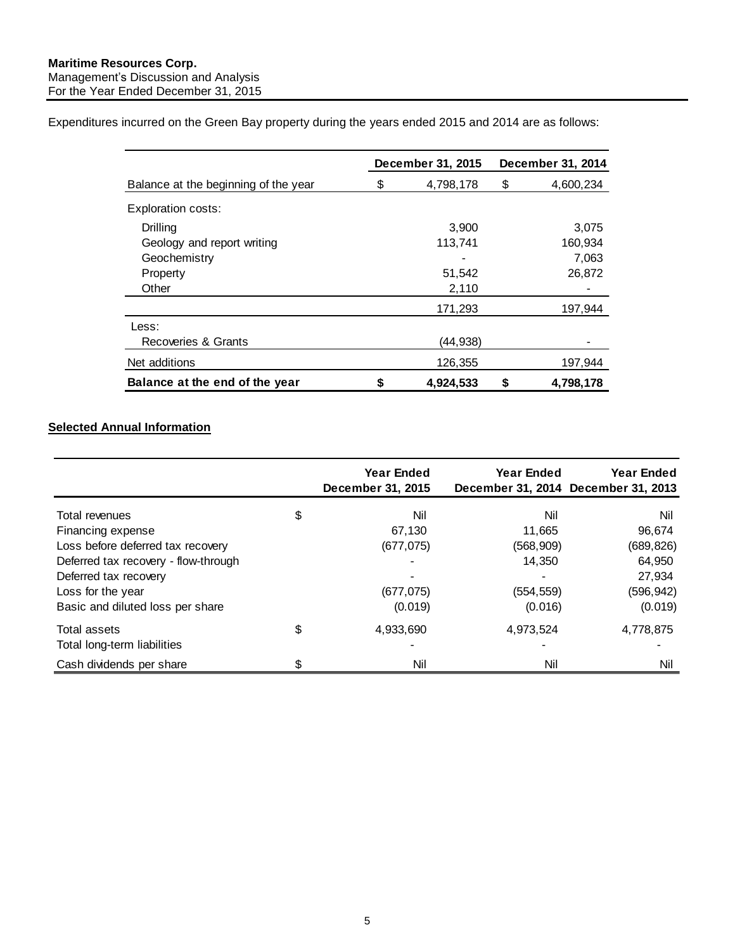<span id="page-5-0"></span>Expenditures incurred on the Green Bay property during the years ended 2015 and 2014 are as follows:

|                                      |    | December 31, 2015 |    | December 31, 2014 |
|--------------------------------------|----|-------------------|----|-------------------|
| Balance at the beginning of the year | S  | 4,798,178         | \$ | 4,600,234         |
| Exploration costs:                   |    |                   |    |                   |
| Drilling                             |    | 3,900             |    | 3,075             |
| Geology and report writing           |    | 113,741           |    | 160,934           |
| Geochemistry                         |    |                   |    | 7,063             |
| Property                             |    | 51,542            |    | 26,872            |
| Other                                |    | 2,110             |    |                   |
|                                      |    | 171,293           |    | 197,944           |
| Less:                                |    |                   |    |                   |
| Recoveries & Grants                  |    | (44,938)          |    |                   |
| Net additions                        |    | 126,355           |    | 197,944           |
| Balance at the end of the year       | \$ | 4,924,533         | S  | 4,798,178         |

## **Selected Annual Information**

<span id="page-5-1"></span>

| <b>Year Ended</b><br>December 31, 2015 | Year Ended | <b>Year Ended</b><br>December 31, 2014 December 31, 2013 |
|----------------------------------------|------------|----------------------------------------------------------|
| Nil                                    | Nil        | Nil                                                      |
| 67,130                                 | 11,665     | 96,674                                                   |
| (677, 075)                             | (568, 909) | (689, 826)                                               |
|                                        | 14,350     | 64,950                                                   |
|                                        |            | 27,934                                                   |
| (677, 075)                             | (554, 559) | (596, 942)                                               |
| (0.019)                                | (0.016)    | (0.019)                                                  |
| \$<br>4,933,690                        | 4,973,524  | 4,778,875                                                |
|                                        |            | Nil                                                      |
| \$                                     | Nil        | Nil                                                      |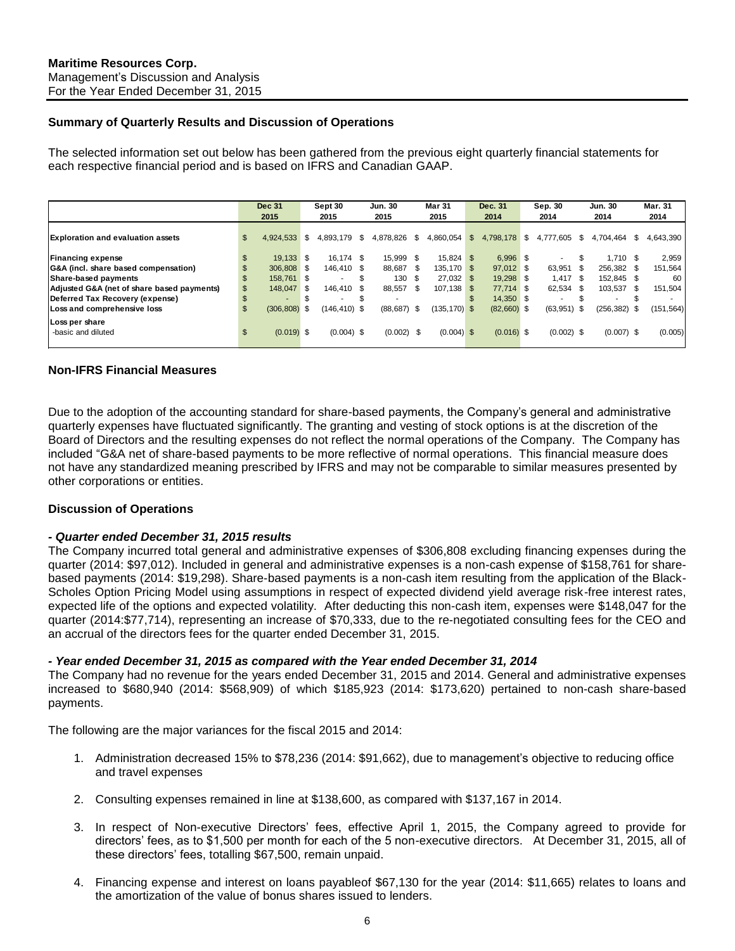#### **Summary of Quarterly Results and Discussion of Operations**

The selected information set out below has been gathered from the previous eight quarterly financial statements for each respective financial period and is based on IFRS and Canadian GAAP.

|                                            |     | <b>Dec 31</b><br>2015 |      | Sept 30<br>2015 |     | <b>Jun. 30</b><br>2015 |      | <b>Mar 31</b><br>2015 | Dec. 31<br>2014 | Sep. 30<br>2014 |    | <b>Jun. 30</b><br>2014 | <b>Mar. 31</b><br>2014 |
|--------------------------------------------|-----|-----------------------|------|-----------------|-----|------------------------|------|-----------------------|-----------------|-----------------|----|------------------------|------------------------|
| <b>Exploration and evaluation assets</b>   | \$  | 4,924,533             | - \$ | 4.893.179 \$    |     | 4,878,826              | S.   | 4.860.054             | \$<br>4,798,178 | \$<br>4.777.605 | S. | 4.704.464 \$           | 4.643.390              |
| <b>Financing expense</b>                   | \$  | 19.133 \$             |      | 16.174 \$       |     | 15.999                 | -S   | $15.824$ \$           | 6.996 \$        |                 | \$ | 1.710S                 | 2,959                  |
| G&A (incl. share based compensation)       |     | 306.808 \$            |      | 146.410 \$      |     | 88.687 \$              |      | 135.170 \$            | 97.012 \$       | 63.951 \$       |    | 256.382 \$             | 151,564                |
| Share-based payments                       |     | 158.761 \$            |      | ۰.              | \$. | 130                    | - \$ | $27.032$ \$           | 19,298 \$       | $1.417$ \$      |    | 152.845 \$             | 60 l                   |
| Adjusted G&A (net of share based payments) | \$. | 148,047               | - \$ | 146.410 \$      |     | 88.557                 | \$.  | 107.138 \$            | 77.714 \$       | 62.534 \$       |    | 103.537 \$             | 151,504                |
| Deferred Tax Recovery (expense)            |     |                       |      | ۰.              | \$  |                        |      |                       | 14,350 \$       | ۰.              |    | ۰.                     |                        |
| Loss and comprehensive loss                |     | $(306, 808)$ \$       |      | $(146, 410)$ \$ |     | (88, 687)              | \$   | $(135, 170)$ \$       | $(82,660)$ \$   | $(63,951)$ \$   |    | $(256, 382)$ \$        | (151, 564)             |
| Loss per share<br>-basic and diluted       | \$  | $(0.019)$ \$          |      | $(0.004)$ \$    |     | (0.002)                | - \$ | $(0.004)$ \$          | $(0.016)$ \$    | $(0.002)$ \$    |    | $(0.007)$ \$           | (0.005)                |
|                                            |     |                       |      |                 |     |                        |      |                       |                 |                 |    |                        |                        |

#### **Non-IFRS Financial Measures**

Due to the adoption of the accounting standard for share-based payments, the Company's general and administrative quarterly expenses have fluctuated significantly. The granting and vesting of stock options is at the discretion of the Board of Directors and the resulting expenses do not reflect the normal operations of the Company. The Company has included "G&A net of share-based payments to be more reflective of normal operations. This financial measure does not have any standardized meaning prescribed by IFRS and may not be comparable to similar measures presented by other corporations or entities.

#### **Discussion of Operations**

#### *- Quarter ended December 31, 2015 results*

The Company incurred total general and administrative expenses of \$306,808 excluding financing expenses during the quarter (2014: \$97,012). Included in general and administrative expenses is a non-cash expense of \$158,761 for sharebased payments (2014: \$19,298). Share-based payments is a non-cash item resulting from the application of the Black-Scholes Option Pricing Model using assumptions in respect of expected dividend yield average risk-free interest rates, expected life of the options and expected volatility. After deducting this non-cash item, expenses were \$148,047 for the quarter (2014:\$77,714), representing an increase of \$70,333, due to the re-negotiated consulting fees for the CEO and an accrual of the directors fees for the quarter ended December 31, 2015.

#### *- Year ended December 31, 2015 as compared with the Year ended December 31, 2014*

The Company had no revenue for the years ended December 31, 2015 and 2014. General and administrative expenses increased to \$680,940 (2014: \$568,909) of which \$185,923 (2014: \$173,620) pertained to non-cash share-based payments.

The following are the major variances for the fiscal 2015 and 2014:

- 1. Administration decreased 15% to \$78,236 (2014: \$91,662), due to management's objective to reducing office and travel expenses
- 2. Consulting expenses remained in line at \$138,600, as compared with \$137,167 in 2014.
- 3. In respect of Non-executive Directors' fees, effective April 1, 2015, the Company agreed to provide for directors' fees, as to \$1,500 per month for each of the 5 non-executive directors. At December 31, 2015, all of these directors' fees, totalling \$67,500, remain unpaid.
- 4. Financing expense and interest on loans payableof \$67,130 for the year (2014: \$11,665) relates to loans and the amortization of the value of bonus shares issued to lenders.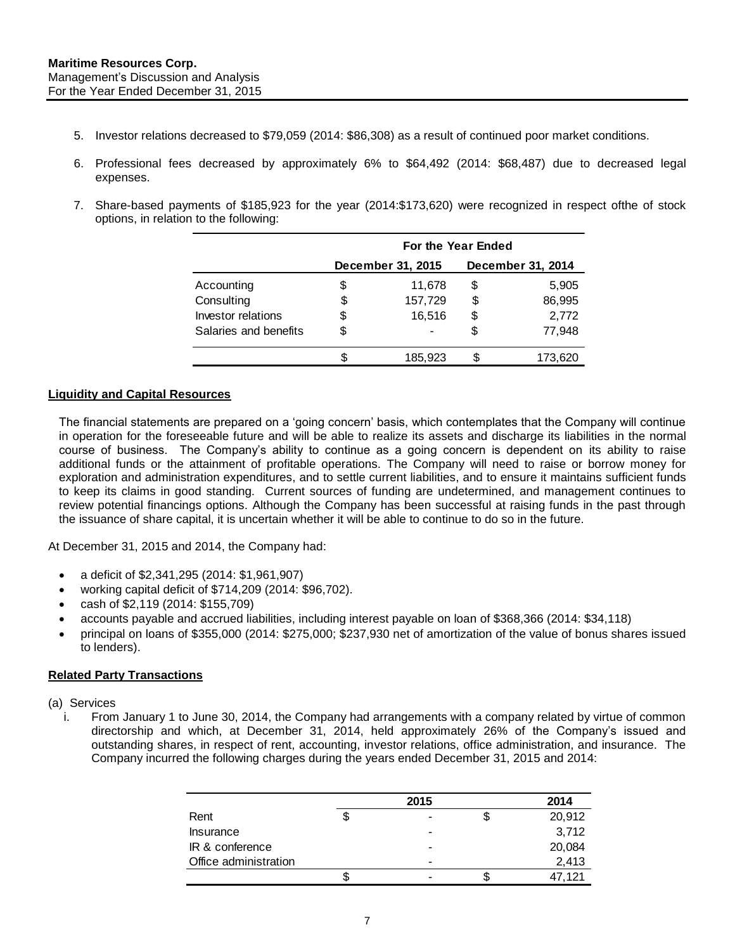- 5. Investor relations decreased to \$79,059 (2014: \$86,308) as a result of continued poor market conditions.
- 6. Professional fees decreased by approximately 6% to \$64,492 (2014: \$68,487) due to decreased legal expenses.
- 7. Share-based payments of \$185,923 for the year (2014:\$173,620) were recognized in respect ofthe of stock options, in relation to the following:

|                       | For the Year Ended |                   |                   |         |  |  |
|-----------------------|--------------------|-------------------|-------------------|---------|--|--|
|                       |                    | December 31, 2015 | December 31, 2014 |         |  |  |
| Accounting            | \$                 | 11,678            | \$                | 5,905   |  |  |
| Consulting            | \$                 | 157,729           | \$                | 86,995  |  |  |
| Investor relations    | \$                 | 16,516            | \$                | 2,772   |  |  |
| Salaries and benefits | S                  |                   | \$                | 77.948  |  |  |
|                       |                    | 185,923           | S                 | 173.620 |  |  |

#### <span id="page-7-0"></span>**Liquidity and Capital Resources**

The financial statements are prepared on a 'going concern' basis, which contemplates that the Company will continue in operation for the foreseeable future and will be able to realize its assets and discharge its liabilities in the normal course of business. The Company's ability to continue as a going concern is dependent on its ability to raise additional funds or the attainment of profitable operations. The Company will need to raise or borrow money for exploration and administration expenditures, and to settle current liabilities, and to ensure it maintains sufficient funds to keep its claims in good standing. Current sources of funding are undetermined, and management continues to review potential financings options. Although the Company has been successful at raising funds in the past through the issuance of share capital, it is uncertain whether it will be able to continue to do so in the future.

At December 31, 2015 and 2014, the Company had:

- a deficit of \$2,341,295 (2014: \$1,961,907)
- working capital deficit of \$714,209 (2014: \$96,702).
- cash of \$2,119 (2014: \$155,709)
- accounts payable and accrued liabilities, including interest payable on loan of \$368,366 (2014: \$34,118)
- principal on loans of \$355,000 (2014: \$275,000; \$237,930 net of amortization of the value of bonus shares issued to lenders).

#### <span id="page-7-1"></span>**Related Party Transactions**

- (a) Services
	- i. From January 1 to June 30, 2014, the Company had arrangements with a company related by virtue of common directorship and which, at December 31, 2014, held approximately 26% of the Company's issued and outstanding shares, in respect of rent, accounting, investor relations, office administration, and insurance. The Company incurred the following charges during the years ended December 31, 2015 and 2014:

|                       | 2015    | 2014   |
|-----------------------|---------|--------|
| Rent                  | \$<br>- | 20,912 |
| Insurance             | -       | 3,712  |
| IR & conference       | -       | 20,084 |
| Office administration | -       | 2,413  |
|                       |         | 47.121 |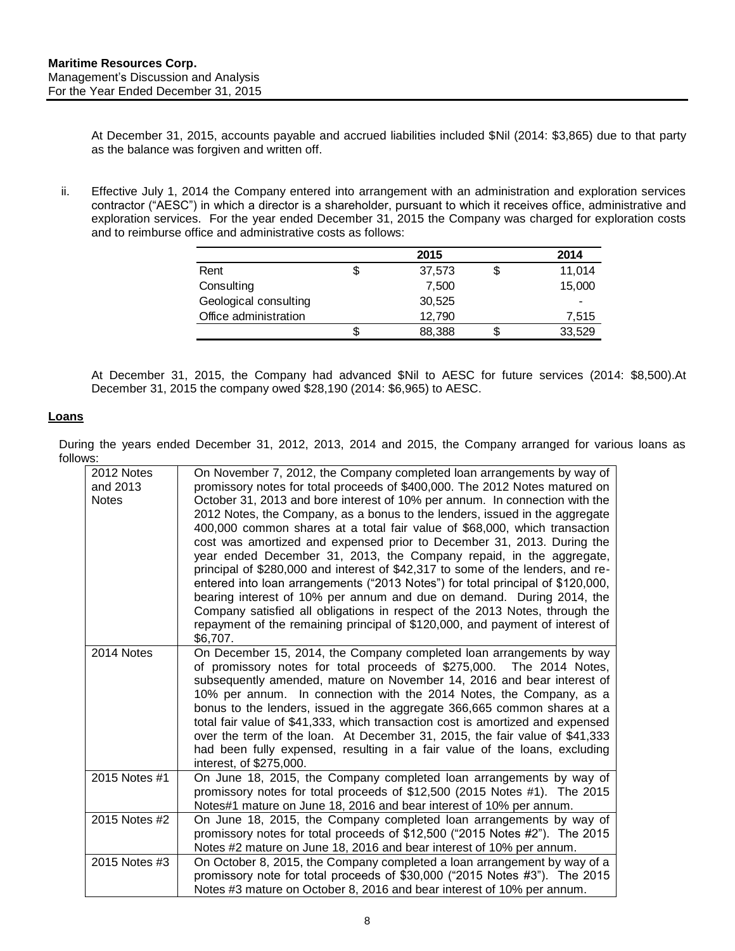At December 31, 2015, accounts payable and accrued liabilities included \$Nil (2014: \$3,865) due to that party as the balance was forgiven and written off.

ii. Effective July 1, 2014 the Company entered into arrangement with an administration and exploration services contractor ("AESC") in which a director is a shareholder, pursuant to which it receives office, administrative and exploration services. For the year ended December 31, 2015 the Company was charged for exploration costs and to reimburse office and administrative costs as follows:

|                       | 2015         | 2014   |
|-----------------------|--------------|--------|
| Rent                  | \$<br>37,573 | 11.014 |
| Consulting            | 7.500        | 15,000 |
| Geological consulting | 30,525       |        |
| Office administration | 12,790       | 7,515  |
|                       | 88,388       | 33,529 |

At December 31, 2015, the Company had advanced \$Nil to AESC for future services (2014: \$8,500).At December 31, 2015 the company owed \$28,190 (2014: \$6,965) to AESC.

#### **Loans**

During the years ended December 31, 2012, 2013, 2014 and 2015, the Company arranged for various loans as follows:

| 2012 Notes<br>and 2013<br><b>Notes</b> | On November 7, 2012, the Company completed loan arrangements by way of<br>promissory notes for total proceeds of \$400,000. The 2012 Notes matured on<br>October 31, 2013 and bore interest of 10% per annum. In connection with the<br>2012 Notes, the Company, as a bonus to the lenders, issued in the aggregate<br>400,000 common shares at a total fair value of \$68,000, which transaction<br>cost was amortized and expensed prior to December 31, 2013. During the<br>year ended December 31, 2013, the Company repaid, in the aggregate,<br>principal of \$280,000 and interest of \$42,317 to some of the lenders, and re-<br>entered into loan arrangements ("2013 Notes") for total principal of \$120,000,<br>bearing interest of 10% per annum and due on demand. During 2014, the<br>Company satisfied all obligations in respect of the 2013 Notes, through the<br>repayment of the remaining principal of \$120,000, and payment of interest of<br>\$6,707. |
|----------------------------------------|-------------------------------------------------------------------------------------------------------------------------------------------------------------------------------------------------------------------------------------------------------------------------------------------------------------------------------------------------------------------------------------------------------------------------------------------------------------------------------------------------------------------------------------------------------------------------------------------------------------------------------------------------------------------------------------------------------------------------------------------------------------------------------------------------------------------------------------------------------------------------------------------------------------------------------------------------------------------------------|
| 2014 Notes                             | On December 15, 2014, the Company completed loan arrangements by way<br>of promissory notes for total proceeds of \$275,000. The 2014 Notes,<br>subsequently amended, mature on November 14, 2016 and bear interest of<br>10% per annum. In connection with the 2014 Notes, the Company, as a<br>bonus to the lenders, issued in the aggregate 366,665 common shares at a<br>total fair value of \$41,333, which transaction cost is amortized and expensed<br>over the term of the loan. At December 31, 2015, the fair value of \$41,333<br>had been fully expensed, resulting in a fair value of the loans, excluding<br>interest, of \$275,000.                                                                                                                                                                                                                                                                                                                           |
| 2015 Notes #1                          | On June 18, 2015, the Company completed loan arrangements by way of<br>promissory notes for total proceeds of \$12,500 (2015 Notes #1). The 2015<br>Notes#1 mature on June 18, 2016 and bear interest of 10% per annum.                                                                                                                                                                                                                                                                                                                                                                                                                                                                                                                                                                                                                                                                                                                                                       |
| 2015 Notes #2                          | On June 18, 2015, the Company completed loan arrangements by way of<br>promissory notes for total proceeds of \$12,500 ("2015 Notes #2"). The 2015<br>Notes #2 mature on June 18, 2016 and bear interest of 10% per annum.                                                                                                                                                                                                                                                                                                                                                                                                                                                                                                                                                                                                                                                                                                                                                    |
| 2015 Notes #3                          | On October 8, 2015, the Company completed a loan arrangement by way of a<br>promissory note for total proceeds of \$30,000 ("2015 Notes #3"). The 2015<br>Notes #3 mature on October 8, 2016 and bear interest of 10% per annum.                                                                                                                                                                                                                                                                                                                                                                                                                                                                                                                                                                                                                                                                                                                                              |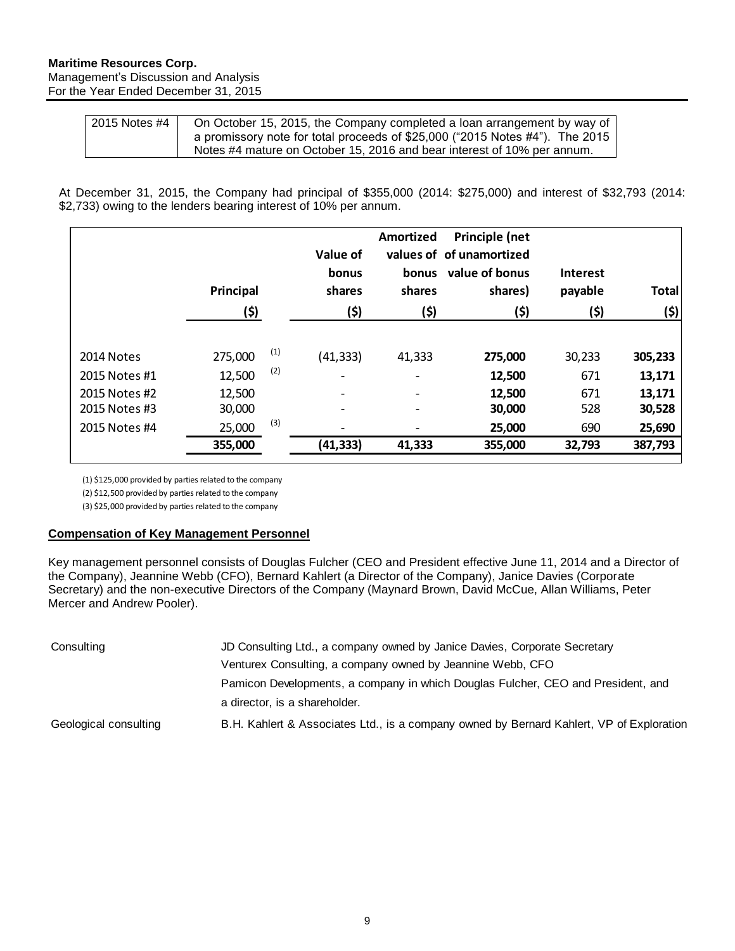#### **Maritime Resources Corp.** Management's Discussion and Analysis For the Year Ended December 31, 2015

| 2015 Notes #4 | On October 15, 2015, the Company completed a loan arrangement by way of      |
|---------------|------------------------------------------------------------------------------|
|               | a promissory note for total proceeds of \$25,000 ("2015 Notes #4"). The 2015 |
|               | Notes #4 mature on October 15, 2016 and bear interest of 10% per annum.      |

At December 31, 2015, the Company had principal of \$355,000 (2014: \$275,000) and interest of \$32,793 (2014: \$2,733) owing to the lenders bearing interest of 10% per annum.

|               | Principal<br>(\$) |     | Value of<br>bonus<br>shares<br>(\$) | Amortized<br>bonus<br>shares<br>(\$) | Principle (net<br>values of of unamortized<br>value of bonus<br>shares)<br>(\$) | <b>Interest</b><br>payable<br>(\$) | <b>Total</b><br>(\$) |
|---------------|-------------------|-----|-------------------------------------|--------------------------------------|---------------------------------------------------------------------------------|------------------------------------|----------------------|
| 2014 Notes    | 275,000           | (1) | (41, 333)                           | 41,333                               | 275,000                                                                         | 30,233                             | 305,233              |
| 2015 Notes #1 | 12,500            | (2) |                                     | $\overline{a}$                       | 12,500                                                                          | 671                                | 13,171               |
| 2015 Notes #2 | 12,500            |     | $\overline{\phantom{a}}$            | $\qquad \qquad -$                    | 12,500                                                                          | 671                                | 13,171               |
| 2015 Notes #3 | 30,000            |     | $\overline{\phantom{a}}$            | $\overline{a}$                       | 30,000                                                                          | 528                                | 30,528               |
| 2015 Notes #4 | 25,000            | (3) | ٠                                   |                                      | 25,000                                                                          | 690                                | 25,690               |
|               | 355,000           |     | (41,333)                            | 41,333                               | 355,000                                                                         | 32,793                             | 387,793              |

(1) \$125,000 provided by parties related to the company

(2) \$12,500 provided by parties related to the company

(3) \$25,000 provided by parties related to the company

#### **Compensation of Key Management Personnel**

Key management personnel consists of Douglas Fulcher (CEO and President effective June 11, 2014 and a Director of the Company), Jeannine Webb (CFO), Bernard Kahlert (a Director of the Company), Janice Davies (Corporate Secretary) and the non-executive Directors of the Company (Maynard Brown, David McCue, Allan Williams, Peter Mercer and Andrew Pooler).

| Consulting            | JD Consulting Ltd., a company owned by Janice Davies, Corporate Secretary                |
|-----------------------|------------------------------------------------------------------------------------------|
|                       | Venturex Consulting, a company owned by Jeannine Webb, CFO                               |
|                       | Pamicon Developments, a company in which Douglas Fulcher, CEO and President, and         |
|                       | a director, is a shareholder.                                                            |
| Geological consulting | B.H. Kahlert & Associates Ltd., is a company owned by Bernard Kahlert, VP of Exploration |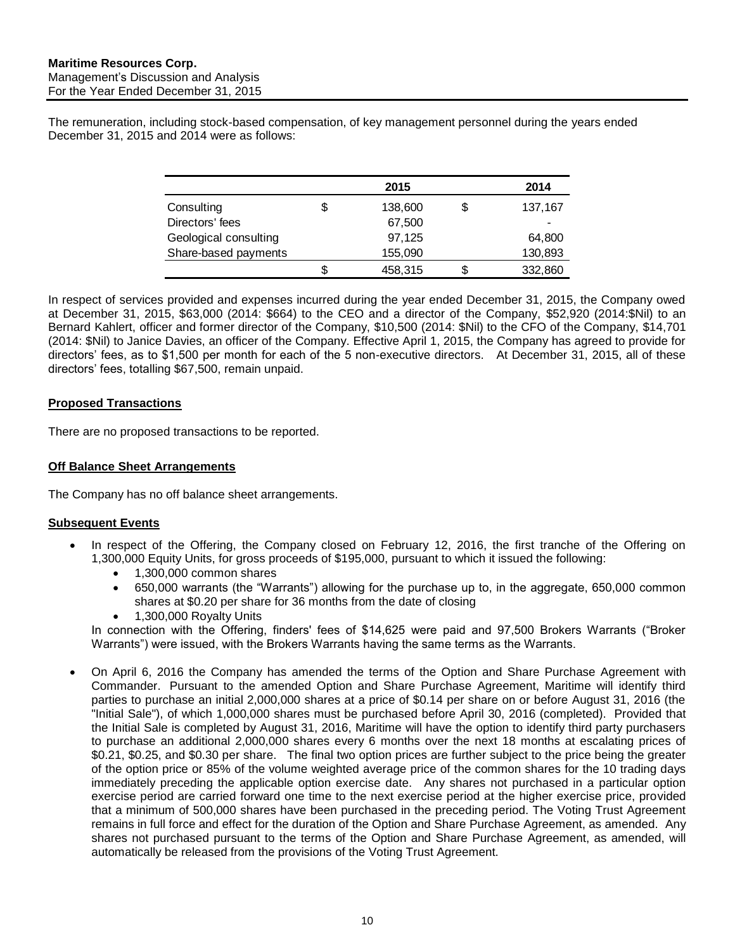The remuneration, including stock-based compensation, of key management personnel during the years ended December 31, 2015 and 2014 were as follows:

|                       | 2015    | 2014                     |
|-----------------------|---------|--------------------------|
| Consulting            | 138,600 | 137,167                  |
| Directors' fees       | 67,500  | $\overline{\phantom{a}}$ |
| Geological consulting | 97,125  | 64,800                   |
| Share-based payments  | 155,090 | 130,893                  |
|                       | 458,315 | 332,860                  |

In respect of services provided and expenses incurred during the year ended December 31, 2015, the Company owed at December 31, 2015, \$63,000 (2014: \$664) to the CEO and a director of the Company, \$52,920 (2014:\$Nil) to an Bernard Kahlert, officer and former director of the Company, \$10,500 (2014: \$Nil) to the CFO of the Company, \$14,701 (2014: \$Nil) to Janice Davies, an officer of the Company. Effective April 1, 2015, the Company has agreed to provide for directors' fees, as to \$1,500 per month for each of the 5 non-executive directors. At December 31, 2015, all of these directors' fees, totalling \$67,500, remain unpaid.

## <span id="page-10-0"></span>**Proposed Transactions**

There are no proposed transactions to be reported.

## <span id="page-10-1"></span>**Off Balance Sheet Arrangements**

The Company has no off balance sheet arrangements.

## <span id="page-10-2"></span>**Subsequent Events**

- In respect of the Offering, the Company closed on February 12, 2016, the first tranche of the Offering on 1,300,000 Equity Units, for gross proceeds of \$195,000, pursuant to which it issued the following:
	- $\bullet$  1.300,000 common shares
	- 650,000 warrants (the "Warrants") allowing for the purchase up to, in the aggregate, 650,000 common shares at \$0.20 per share for 36 months from the date of closing
	- 1,300,000 Royalty Units

In connection with the Offering, finders' fees of \$14,625 were paid and 97,500 Brokers Warrants ("Broker Warrants") were issued, with the Brokers Warrants having the same terms as the Warrants.

 On April 6, 2016 the Company has amended the terms of the Option and Share Purchase Agreement with Commander. Pursuant to the amended Option and Share Purchase Agreement, Maritime will identify third parties to purchase an initial 2,000,000 shares at a price of \$0.14 per share on or before August 31, 2016 (the "Initial Sale"), of which 1,000,000 shares must be purchased before April 30, 2016 (completed). Provided that the Initial Sale is completed by August 31, 2016, Maritime will have the option to identify third party purchasers to purchase an additional 2,000,000 shares every 6 months over the next 18 months at escalating prices of \$0.21, \$0.25, and \$0.30 per share. The final two option prices are further subject to the price being the greater of the option price or 85% of the volume weighted average price of the common shares for the 10 trading days immediately preceding the applicable option exercise date. Any shares not purchased in a particular option exercise period are carried forward one time to the next exercise period at the higher exercise price, provided that a minimum of 500,000 shares have been purchased in the preceding period. The Voting Trust Agreement remains in full force and effect for the duration of the Option and Share Purchase Agreement, as amended. Any shares not purchased pursuant to the terms of the Option and Share Purchase Agreement, as amended, will automatically be released from the provisions of the Voting Trust Agreement.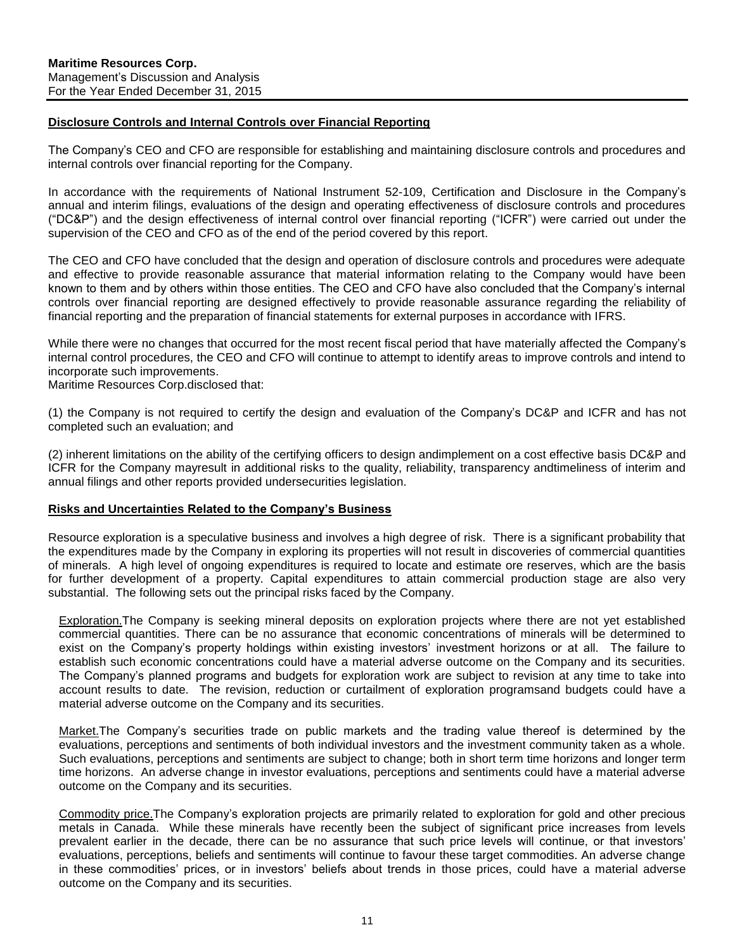#### <span id="page-11-0"></span>**Disclosure Controls and Internal Controls over Financial Reporting**

The Company's CEO and CFO are responsible for establishing and maintaining disclosure controls and procedures and internal controls over financial reporting for the Company.

In accordance with the requirements of National Instrument 52-109, Certification and Disclosure in the Company's annual and interim filings, evaluations of the design and operating effectiveness of disclosure controls and procedures ("DC&P") and the design effectiveness of internal control over financial reporting ("ICFR") were carried out under the supervision of the CEO and CFO as of the end of the period covered by this report.

The CEO and CFO have concluded that the design and operation of disclosure controls and procedures were adequate and effective to provide reasonable assurance that material information relating to the Company would have been known to them and by others within those entities. The CEO and CFO have also concluded that the Company's internal controls over financial reporting are designed effectively to provide reasonable assurance regarding the reliability of financial reporting and the preparation of financial statements for external purposes in accordance with IFRS.

While there were no changes that occurred for the most recent fiscal period that have materially affected the Company's internal control procedures, the CEO and CFO will continue to attempt to identify areas to improve controls and intend to incorporate such improvements.

Maritime Resources Corp.disclosed that:

(1) the Company is not required to certify the design and evaluation of the Company's DC&P and ICFR and has not completed such an evaluation; and

(2) inherent limitations on the ability of the certifying officers to design andimplement on a cost effective basis DC&P and ICFR for the Company mayresult in additional risks to the quality, reliability, transparency andtimeliness of interim and annual filings and other reports provided undersecurities legislation.

#### <span id="page-11-1"></span>**Risks and Uncertainties Related to the Company's Business**

Resource exploration is a speculative business and involves a high degree of risk. There is a significant probability that the expenditures made by the Company in exploring its properties will not result in discoveries of commercial quantities of minerals. A high level of ongoing expenditures is required to locate and estimate ore reserves, which are the basis for further development of a property. Capital expenditures to attain commercial production stage are also very substantial. The following sets out the principal risks faced by the Company.

Exploration.The Company is seeking mineral deposits on exploration projects where there are not yet established commercial quantities. There can be no assurance that economic concentrations of minerals will be determined to exist on the Company's property holdings within existing investors' investment horizons or at all. The failure to establish such economic concentrations could have a material adverse outcome on the Company and its securities. The Company's planned programs and budgets for exploration work are subject to revision at any time to take into account results to date. The revision, reduction or curtailment of exploration programsand budgets could have a material adverse outcome on the Company and its securities.

Market. The Company's securities trade on public markets and the trading value thereof is determined by the evaluations, perceptions and sentiments of both individual investors and the investment community taken as a whole. Such evaluations, perceptions and sentiments are subject to change; both in short term time horizons and longer term time horizons. An adverse change in investor evaluations, perceptions and sentiments could have a material adverse outcome on the Company and its securities.

Commodity price.The Company's exploration projects are primarily related to exploration for gold and other precious metals in Canada. While these minerals have recently been the subject of significant price increases from levels prevalent earlier in the decade, there can be no assurance that such price levels will continue, or that investors' evaluations, perceptions, beliefs and sentiments will continue to favour these target commodities. An adverse change in these commodities' prices, or in investors' beliefs about trends in those prices, could have a material adverse outcome on the Company and its securities.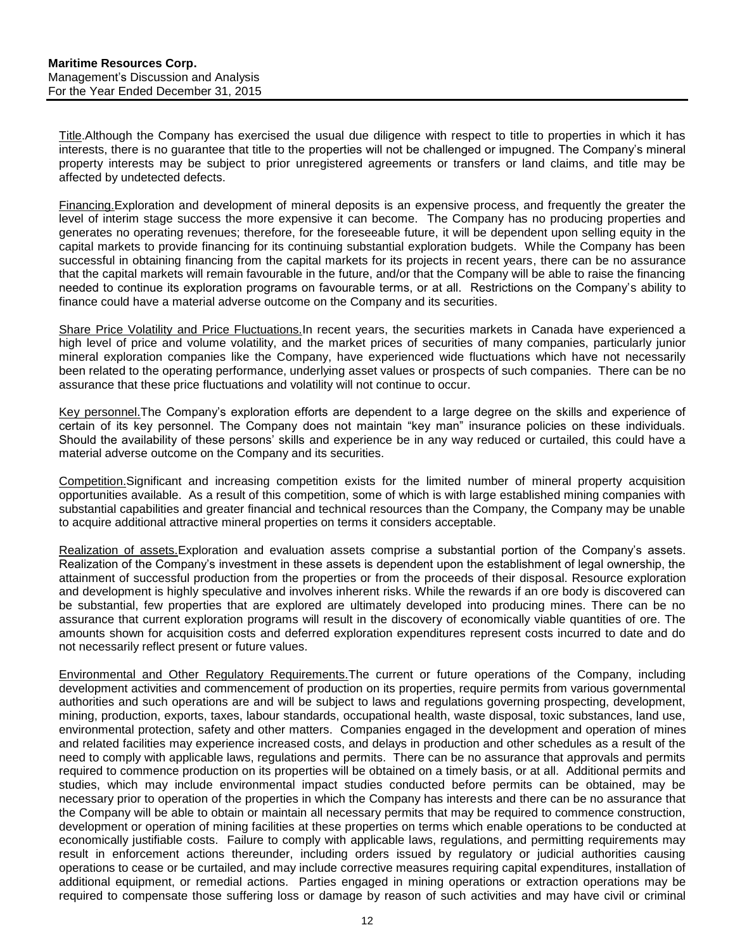Title.Although the Company has exercised the usual due diligence with respect to title to properties in which it has interests, there is no guarantee that title to the properties will not be challenged or impugned. The Company's mineral property interests may be subject to prior unregistered agreements or transfers or land claims, and title may be affected by undetected defects.

Financing.Exploration and development of mineral deposits is an expensive process, and frequently the greater the level of interim stage success the more expensive it can become. The Company has no producing properties and generates no operating revenues; therefore, for the foreseeable future, it will be dependent upon selling equity in the capital markets to provide financing for its continuing substantial exploration budgets. While the Company has been successful in obtaining financing from the capital markets for its projects in recent years, there can be no assurance that the capital markets will remain favourable in the future, and/or that the Company will be able to raise the financing needed to continue its exploration programs on favourable terms, or at all. Restrictions on the Company's ability to finance could have a material adverse outcome on the Company and its securities.

Share Price Volatility and Price Fluctuations.In recent years, the securities markets in Canada have experienced a high level of price and volume volatility, and the market prices of securities of many companies, particularly junior mineral exploration companies like the Company, have experienced wide fluctuations which have not necessarily been related to the operating performance, underlying asset values or prospects of such companies. There can be no assurance that these price fluctuations and volatility will not continue to occur.

Key personnel.The Company's exploration efforts are dependent to a large degree on the skills and experience of certain of its key personnel. The Company does not maintain "key man" insurance policies on these individuals. Should the availability of these persons' skills and experience be in any way reduced or curtailed, this could have a material adverse outcome on the Company and its securities.

Competition.Significant and increasing competition exists for the limited number of mineral property acquisition opportunities available. As a result of this competition, some of which is with large established mining companies with substantial capabilities and greater financial and technical resources than the Company, the Company may be unable to acquire additional attractive mineral properties on terms it considers acceptable.

Realization of assets.Exploration and evaluation assets comprise a substantial portion of the Company's assets. Realization of the Company's investment in these assets is dependent upon the establishment of legal ownership, the attainment of successful production from the properties or from the proceeds of their disposal. Resource exploration and development is highly speculative and involves inherent risks. While the rewards if an ore body is discovered can be substantial, few properties that are explored are ultimately developed into producing mines. There can be no assurance that current exploration programs will result in the discovery of economically viable quantities of ore. The amounts shown for acquisition costs and deferred exploration expenditures represent costs incurred to date and do not necessarily reflect present or future values.

Environmental and Other Regulatory Requirements.The current or future operations of the Company, including development activities and commencement of production on its properties, require permits from various governmental authorities and such operations are and will be subject to laws and regulations governing prospecting, development, mining, production, exports, taxes, labour standards, occupational health, waste disposal, toxic substances, land use, environmental protection, safety and other matters. Companies engaged in the development and operation of mines and related facilities may experience increased costs, and delays in production and other schedules as a result of the need to comply with applicable laws, regulations and permits. There can be no assurance that approvals and permits required to commence production on its properties will be obtained on a timely basis, or at all. Additional permits and studies, which may include environmental impact studies conducted before permits can be obtained, may be necessary prior to operation of the properties in which the Company has interests and there can be no assurance that the Company will be able to obtain or maintain all necessary permits that may be required to commence construction, development or operation of mining facilities at these properties on terms which enable operations to be conducted at economically justifiable costs. Failure to comply with applicable laws, regulations, and permitting requirements may result in enforcement actions thereunder, including orders issued by regulatory or judicial authorities causing operations to cease or be curtailed, and may include corrective measures requiring capital expenditures, installation of additional equipment, or remedial actions. Parties engaged in mining operations or extraction operations may be required to compensate those suffering loss or damage by reason of such activities and may have civil or criminal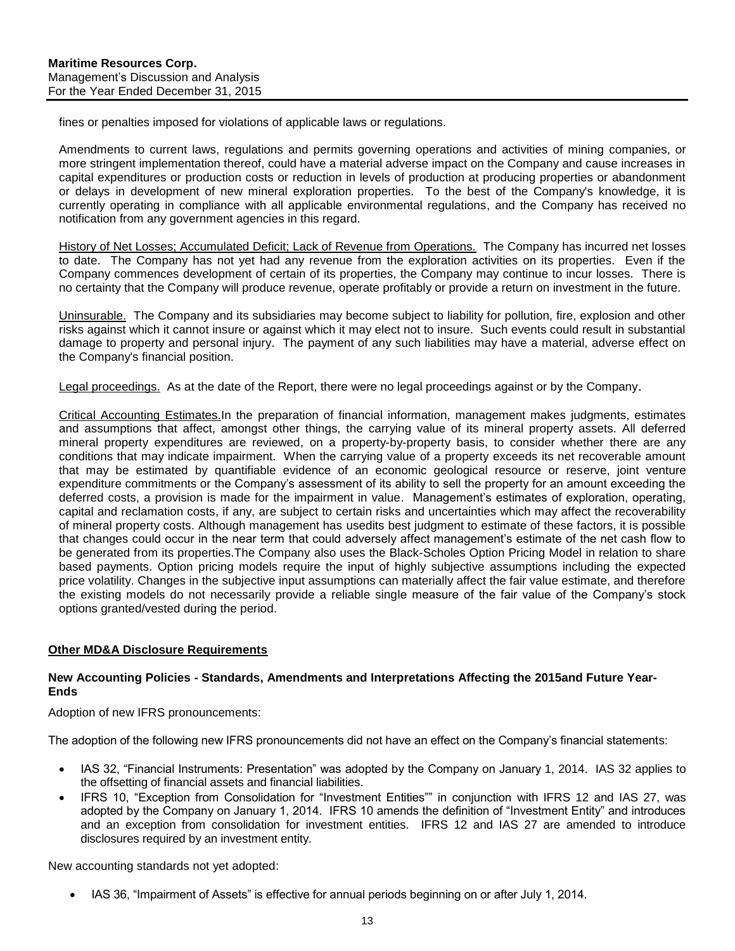fines or penalties imposed for violations of applicable laws or regulations.

Amendments to current laws, regulations and permits governing operations and activities of mining companies, or more stringent implementation thereof, could have a material adverse impact on the Company and cause increases in capital expenditures or production costs or reduction in levels of production at producing properties or abandonment or delays in development of new mineral exploration properties. To the best of the Company's knowledge, it is currently operating in compliance with all applicable environmental regulations, and the Company has received no notification from any government agencies in this regard.

History of Net Losses; Accumulated Deficit; Lack of Revenue from Operations. The Company has incurred net losses to date. The Company has not yet had any revenue from the exploration activities on its properties. Even if the Company commences development of certain of its properties, the Company may continue to incur losses. There is no certainty that the Company will produce revenue, operate profitably or provide a return on investment in the future.

Uninsurable. The Company and its subsidiaries may become subject to liability for pollution, fire, explosion and other risks against which it cannot insure or against which it may elect not to insure. Such events could result in substantial damage to property and personal injury. The payment of any such liabilities may have a material, adverse effect on the Company's financial position.

Legal proceedings. As at the date of the Report, there were no legal proceedings against or by the Company.

Critical Accounting Estimates.In the preparation of financial information, management makes judgments, estimates and assumptions that affect, amongst other things, the carrying value of its mineral property assets. All deferred mineral property expenditures are reviewed, on a property-by-property basis, to consider whether there are any conditions that may indicate impairment. When the carrying value of a property exceeds its net recoverable amount that may be estimated by quantifiable evidence of an economic geological resource or reserve, joint venture expenditure commitments or the Company's assessment of its ability to sell the property for an amount exceeding the deferred costs, a provision is made for the impairment in value. Management's estimates of exploration, operating, capital and reclamation costs, if any, are subject to certain risks and uncertainties which may affect the recoverability of mineral property costs. Although management has usedits best judgment to estimate of these factors, it is possible that changes could occur in the near term that could adversely affect management's estimate of the net cash flow to be generated from its properties.The Company also uses the Black-Scholes Option Pricing Model in relation to share based payments. Option pricing models require the input of highly subjective assumptions including the expected price volatility. Changes in the subjective input assumptions can materially affect the fair value estimate, and therefore the existing models do not necessarily provide a reliable single measure of the fair value of the Company's stock options granted/vested during the period.

## <span id="page-13-0"></span>**Other MD&A Disclosure Requirements**

#### **New Accounting Policies - Standards, Amendments and Interpretations Affecting the 2015and Future Year-Ends**

Adoption of new IFRS pronouncements:

The adoption of the following new IFRS pronouncements did not have an effect on the Company's financial statements:

- IAS 32, "Financial Instruments: Presentation" was adopted by the Company on January 1, 2014. IAS 32 applies to the offsetting of financial assets and financial liabilities.
- IFRS 10, "Exception from Consolidation for "Investment Entities"" in conjunction with IFRS 12 and IAS 27, was adopted by the Company on January 1, 2014. IFRS 10 amends the definition of "Investment Entity" and introduces and an exception from consolidation for investment entities. IFRS 12 and IAS 27 are amended to introduce disclosures required by an investment entity.

New accounting standards not yet adopted:

• IAS 36, "Impairment of Assets" is effective for annual periods beginning on or after July 1, 2014.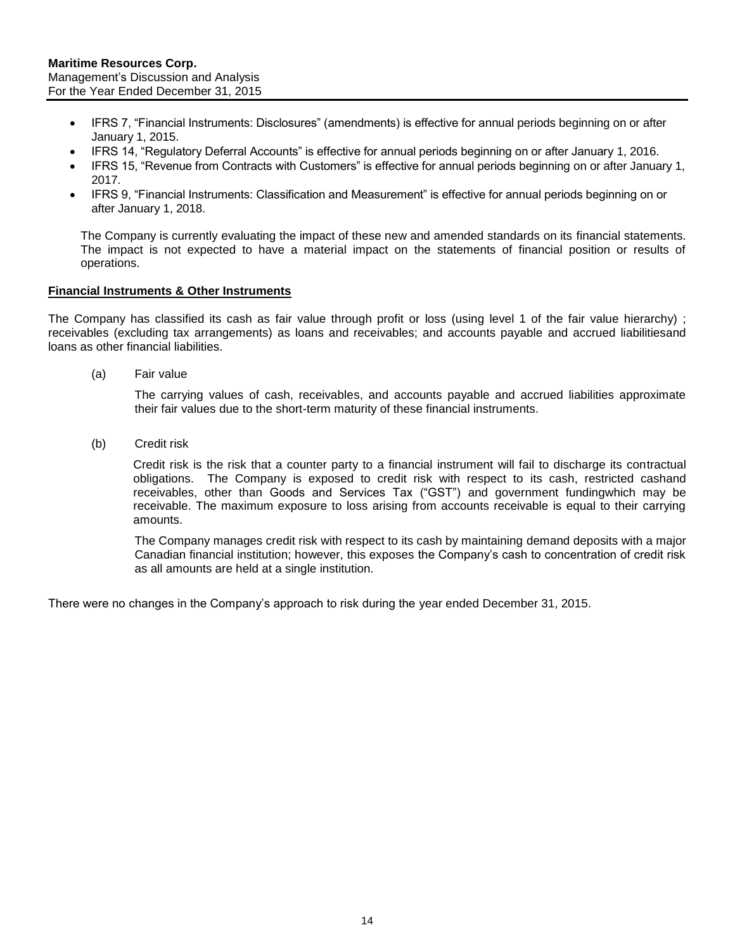- IFRS 7, "Financial Instruments: Disclosures" (amendments) is effective for annual periods beginning on or after January 1, 2015.
- IFRS 14, "Regulatory Deferral Accounts" is effective for annual periods beginning on or after January 1, 2016.
- IFRS 15, "Revenue from Contracts with Customers" is effective for annual periods beginning on or after January 1, 2017.
- IFRS 9, "Financial Instruments: Classification and Measurement" is effective for annual periods beginning on or after January 1, 2018.

The Company is currently evaluating the impact of these new and amended standards on its financial statements. The impact is not expected to have a material impact on the statements of financial position or results of operations.

#### **Financial Instruments & Other Instruments**

The Company has classified its cash as fair value through profit or loss (using level 1 of the fair value hierarchy) ; receivables (excluding tax arrangements) as loans and receivables; and accounts payable and accrued liabilitiesand loans as other financial liabilities.

(a) Fair value

The carrying values of cash, receivables, and accounts payable and accrued liabilities approximate their fair values due to the short-term maturity of these financial instruments.

(b) Credit risk

Credit risk is the risk that a counter party to a financial instrument will fail to discharge its contractual obligations. The Company is exposed to credit risk with respect to its cash, restricted cashand receivables, other than Goods and Services Tax ("GST") and government fundingwhich may be receivable. The maximum exposure to loss arising from accounts receivable is equal to their carrying amounts.

The Company manages credit risk with respect to its cash by maintaining demand deposits with a major Canadian financial institution; however, this exposes the Company's cash to concentration of credit risk as all amounts are held at a single institution.

There were no changes in the Company's approach to risk during the year ended December 31, 2015.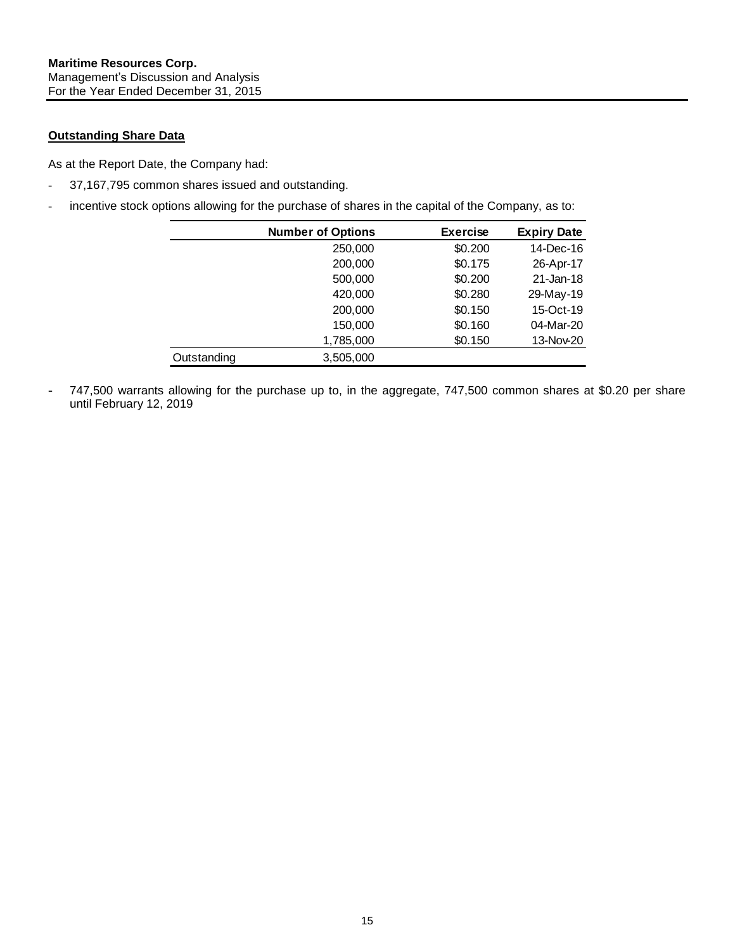## **Outstanding Share Data**

As at the Report Date, the Company had:

- 37,167,795 common shares issued and outstanding.
- incentive stock options allowing for the purchase of shares in the capital of the Company, as to:

|             | <b>Number of Options</b> | <b>Exercise</b> | <b>Expiry Date</b> |
|-------------|--------------------------|-----------------|--------------------|
|             | 250,000                  | \$0.200         | 14-Dec-16          |
|             | 200,000                  | \$0.175         | 26-Apr-17          |
|             | 500,000                  | \$0.200         | 21-Jan-18          |
|             | 420,000                  | \$0.280         | 29-May-19          |
|             | 200,000                  | \$0.150         | 15-Oct-19          |
|             | 150,000                  | \$0.160         | 04-Mar-20          |
|             | 1,785,000                | \$0.150         | 13-Nov-20          |
| Outstanding | 3,505,000                |                 |                    |

747,500 warrants allowing for the purchase up to, in the aggregate, 747,500 common shares at \$0.20 per share until February 12, 2019